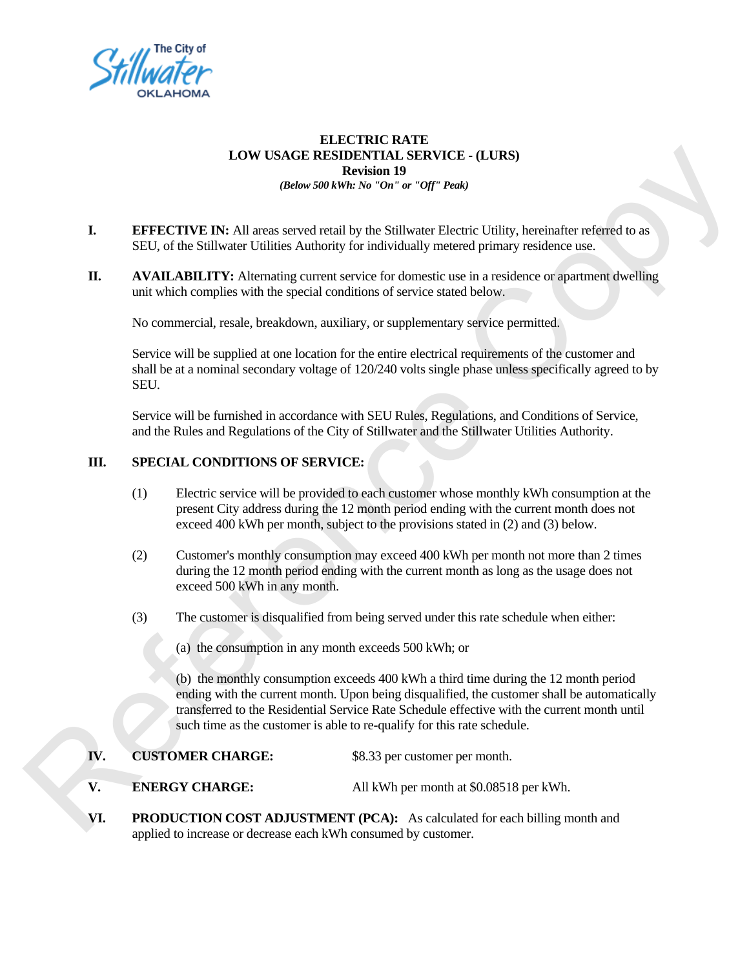

## **ELECTRIC RATE LOW USAGE RESIDENTIAL SERVICE - (LURS) Revision 19**  *(Below 500 kWh: No "On" or "Off" Peak)*

- **I. EFFECTIVE IN:** All areas served retail by the Stillwater Electric Utility, hereinafter referred to as SEU, of the Stillwater Utilities Authority for individually metered primary residence use.
- **II. AVAILABILITY:** Alternating current service for domestic use in a residence or apartment dwelling unit which complies with the special conditions of service stated below.

No commercial, resale, breakdown, auxiliary, or supplementary service permitted.

Service will be supplied at one location for the entire electrical requirements of the customer and shall be at a nominal secondary voltage of 120/240 volts single phase unless specifically agreed to by SEU. Copy

Service will be furnished in accordance with SEU Rules, Regulations, and Conditions of Service, and the Rules and Regulations of the City of Stillwater and the Stillwater Utilities Authority.

## **III. SPECIAL CONDITIONS OF SERVICE:**

- (1) Electric service will be provided to each customer whose monthly kWh consumption at the present City address during the 12 month period ending with the current month does not exceed 400 kWh per month, subject to the provisions stated in (2) and (3) below.
- (2) Customer's monthly consumption may exceed 400 kWh per month not more than 2 times during the 12 month period ending with the current month as long as the usage does not exceed 500 kWh in any month.
- (3) The customer is disqualified from being served under this rate schedule when either:
	- (a) the consumption in any month exceeds 500 kWh; or

(b) the monthly consumption exceeds 400 kWh a third time during the 12 month period ending with the current month. Upon being disqualified, the customer shall be automatically transferred to the Residential Service Rate Schedule effective with the current month until such time as the customer is able to re-qualify for this rate schedule. SEU.<br>
Service will be furnished in accordance with SEU Rules, Regulations, and<br>
and the Rules and Regulations of the City of Stillwater and the Stillwater **III.**<br>
SPECIAL CONDITIONS OF SERVICE:<br>
(1) Electric service will b

- **IV. CUSTOMER CHARGE:** \$8.33 per customer per month.
- **V. ENERGY CHARGE:** All kWh per month at \$0.08518 per kWh.
- **VI. PRODUCTION COST ADJUSTMENT (PCA):** As calculated for each billing month and applied to increase or decrease each kWh consumed by customer.